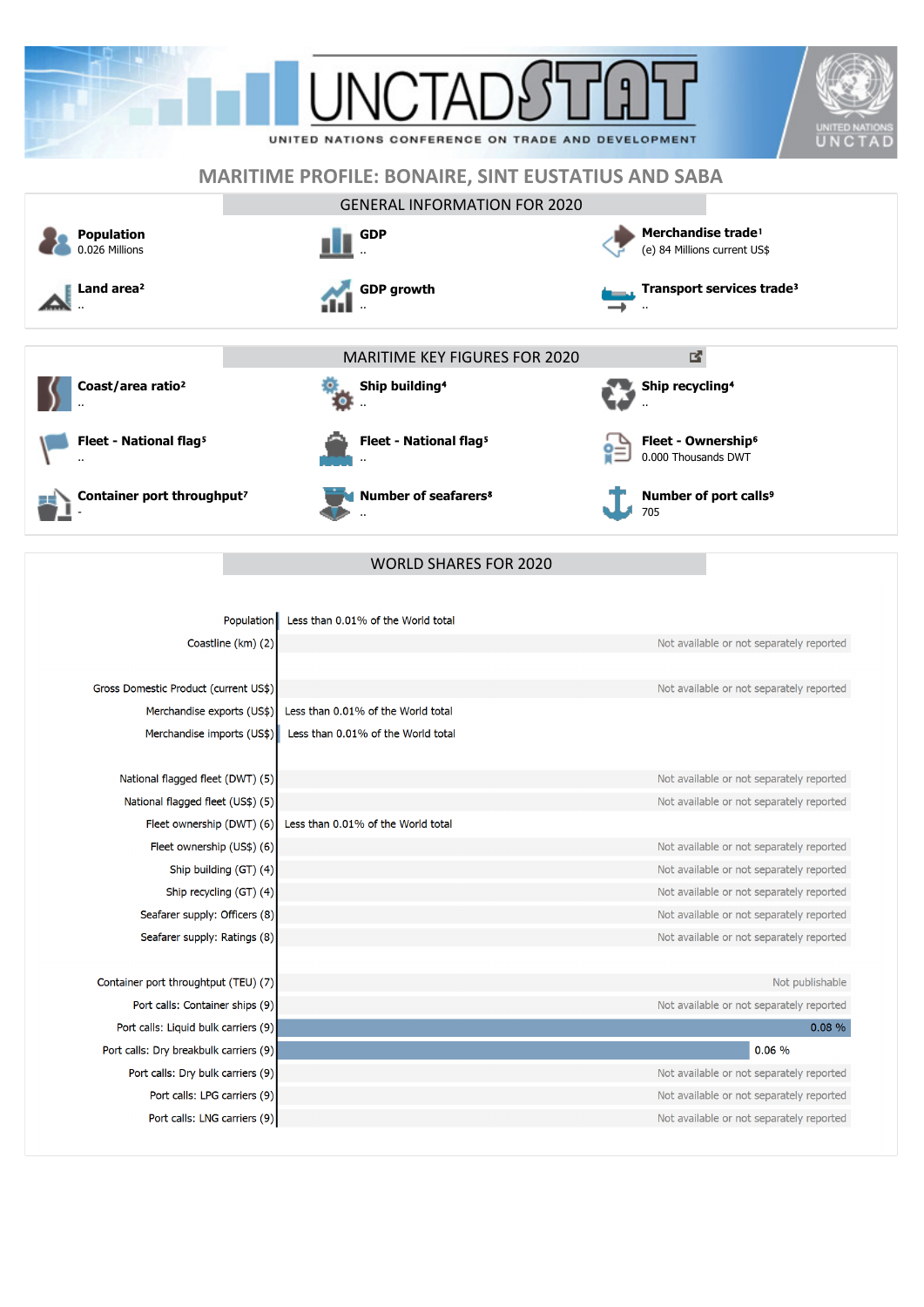| $\bigcap_{\mathcal{F}}\mathcal{F}'$<br>п           |  |
|----------------------------------------------------|--|
| UNITED NATIONS CONFERENCE ON TRADE AND DEVELOPMENT |  |

# **MARITIME PROFILE: BONAIRE, SINT EUSTATIUS AND SABA**



WORLD SHARES FOR 2020

| Population                             | Less than 0.01% of the World total |                                          |
|----------------------------------------|------------------------------------|------------------------------------------|
| Coastline (km) (2)                     |                                    | Not available or not separately reported |
|                                        |                                    |                                          |
| Gross Domestic Product (current US\$)  |                                    | Not available or not separately reported |
| Merchandise exports (US\$)             | Less than 0.01% of the World total |                                          |
| Merchandise imports (US\$)             | Less than 0.01% of the World total |                                          |
|                                        |                                    |                                          |
| National flagged fleet (DWT) (5)       |                                    | Not available or not separately reported |
| National flagged fleet (US\$) (5)      |                                    | Not available or not separately reported |
| Fleet ownership (DWT) (6)              | Less than 0.01% of the World total |                                          |
| Fleet ownership (US\$) (6)             |                                    | Not available or not separately reported |
| Ship building (GT) (4)                 |                                    | Not available or not separately reported |
| Ship recycling (GT) (4)                |                                    | Not available or not separately reported |
| Seafarer supply: Officers (8)          |                                    | Not available or not separately reported |
| Seafarer supply: Ratings (8)           |                                    | Not available or not separately reported |
|                                        |                                    |                                          |
| Container port throughtput (TEU) (7)   |                                    | Not publishable                          |
| Port calls: Container ships (9)        |                                    | Not available or not separately reported |
| Port calls: Liquid bulk carriers (9)   |                                    | 0.08%                                    |
| Port calls: Dry breakbulk carriers (9) |                                    | 0.06%                                    |
| Port calls: Dry bulk carriers (9)      |                                    | Not available or not separately reported |
| Port calls: LPG carriers (9)           |                                    | Not available or not separately reported |
| Port calls: LNG carriers (9)           |                                    | Not available or not separately reported |
|                                        |                                    |                                          |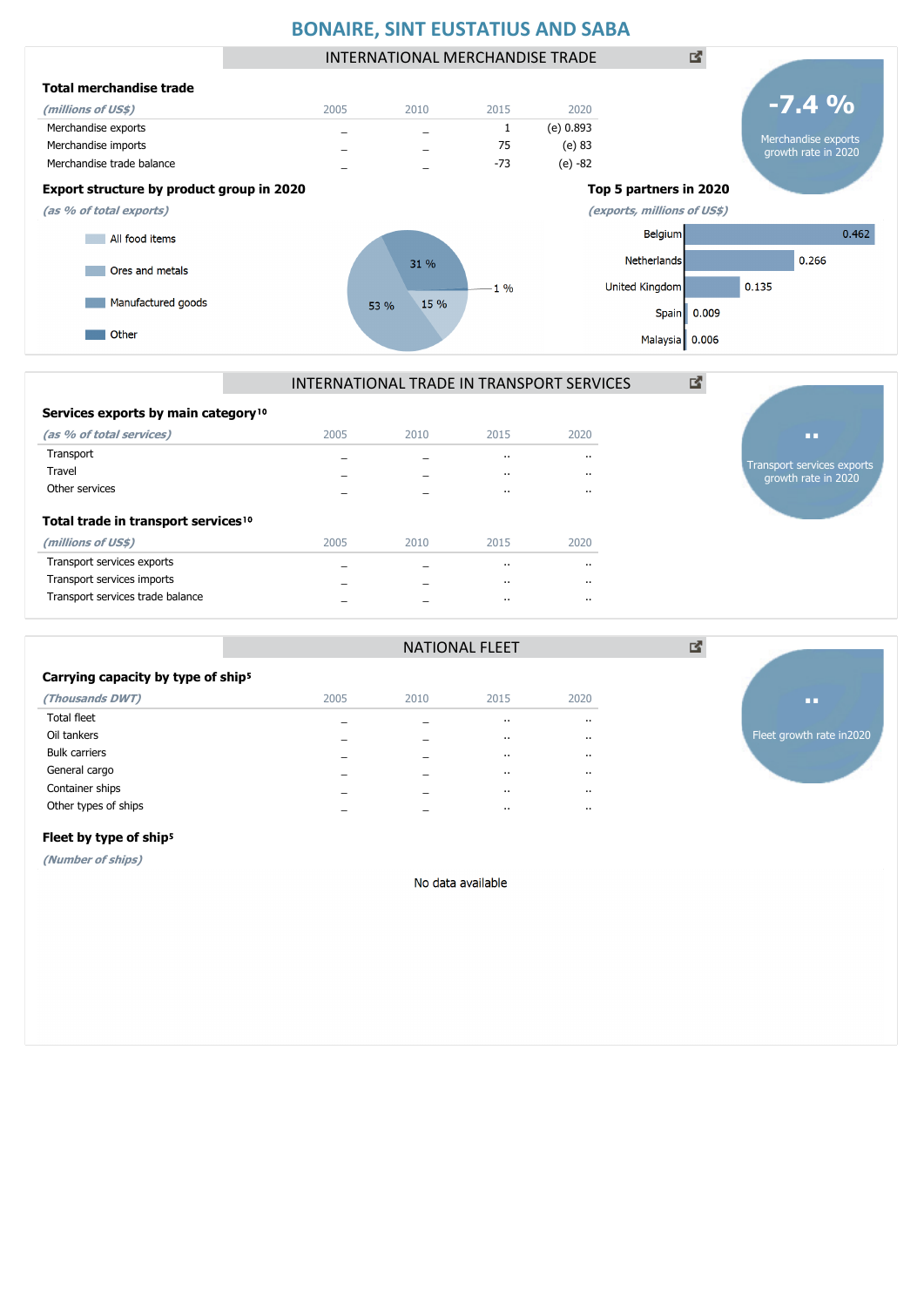

INTERNATIONAL TRADE IN TRANSPORT SERVICES

#### Services exports by main category<sup>10</sup>

| (as % of total services)                        | 2005 | 2010 | 2015                 | 2020      |
|-------------------------------------------------|------|------|----------------------|-----------|
| Transport                                       |      |      | $\ddot{\phantom{a}}$ | $\cdot$ . |
| Travel                                          |      |      | $\cdot$ .            | $\cdot$ . |
| Other services                                  |      |      |                      | $\cdot$ . |
| Total trade in transport services <sup>10</sup> |      |      |                      |           |
| (millions of US\$)                              | 2005 | 2010 | 2015                 | 2020      |
| Transport services exports                      |      |      |                      | $\cdot$   |
| Transport services imports                      |      |      |                      |           |
| Transport services trade balance                |      |      |                      | $\cdot$ . |

|                                                |      | <b>NATIONAL FLEET</b> |          |      |  |
|------------------------------------------------|------|-----------------------|----------|------|--|
| Carrying capacity by type of ship <sup>5</sup> |      |                       |          |      |  |
| (Thousands DWT)                                | 2005 | 2010                  | 2015     | 2020 |  |
| Total fleet                                    |      |                       | $\cdots$ |      |  |
| Oil tankers                                    |      |                       | $\cdot$  |      |  |
| <b>Bulk carriers</b>                           |      |                       | $\cdots$ |      |  |
| General cargo                                  | -    | -                     | $\cdot$  |      |  |
| Container ships                                |      |                       | $\cdot$  |      |  |
| Other types of ships                           | -    |                       | $\cdot$  |      |  |



 $\mathbb{Z}$ 

Transport services exports growth rate in 2020

#### Fleet by type of ship<sup>5</sup>

**(Number of ships)**

No data available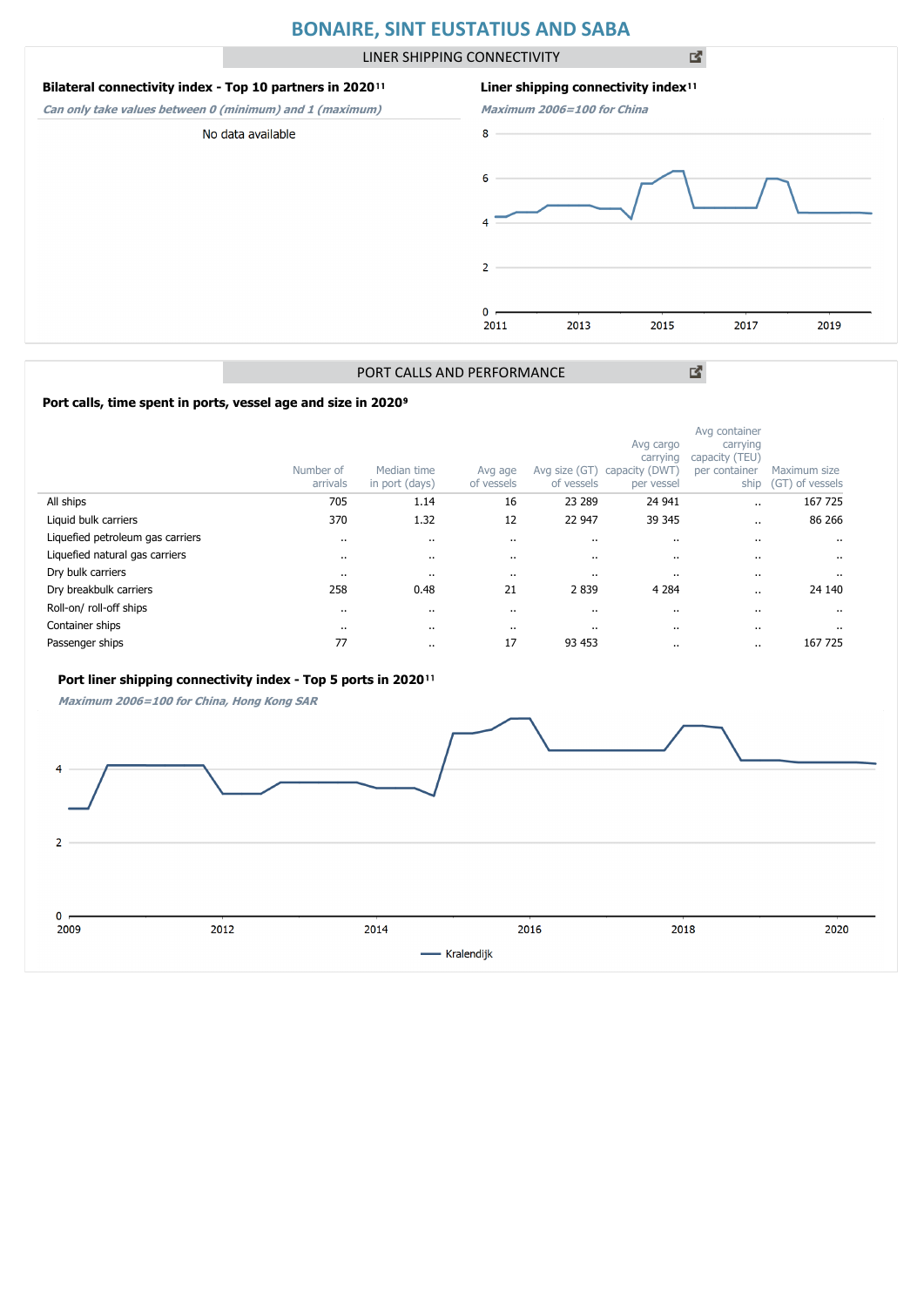# **BONAIRE, SINT EUSTATIUS AND SABA**

LINER SHIPPING CONNECTIVITY

凶

図



## PORT CALLS AND PERFORMANCE

## Port calls, time spent in ports, vessel age and size in 2020<sup>9</sup>

|                                  | Number of<br>arrivals | Median time<br>in port (days) | Avg age<br>of vessels | Avg size (GT)<br>of vessels | Avg cargo<br>carrying<br>capacity (DWT)<br>per vessel | Avg container<br>carrying<br>capacity (TEU)<br>per container<br>ship | Maximum size<br>(GT) of vessels |
|----------------------------------|-----------------------|-------------------------------|-----------------------|-----------------------------|-------------------------------------------------------|----------------------------------------------------------------------|---------------------------------|
| All ships                        | 705                   | 1.14                          | 16                    | 23 289                      | 24 941                                                |                                                                      | 167 725                         |
| Liquid bulk carriers             | 370                   | 1.32                          | 12                    | 22 947                      | 39 345                                                |                                                                      | 86 266                          |
| Liquefied petroleum gas carriers |                       |                               |                       | $\cdots$                    |                                                       |                                                                      |                                 |
| Liquefied natural gas carriers   |                       |                               |                       |                             |                                                       |                                                                      |                                 |
| Dry bulk carriers                | $\cdot$               |                               |                       |                             |                                                       |                                                                      |                                 |
| Dry breakbulk carriers           | 258                   | 0.48                          | 21                    | 2 8 3 9                     | 4 2 8 4                                               |                                                                      | 24 140                          |
| Roll-on/roll-off ships           |                       |                               |                       |                             |                                                       |                                                                      |                                 |
| Container ships                  |                       |                               |                       |                             |                                                       |                                                                      |                                 |
| Passenger ships                  | 77                    |                               | 17                    | 93 453                      |                                                       |                                                                      | 167 725                         |

### Port liner shipping connectivity index - Top 5 ports in 2020<sup>11</sup>

**Maximum 2006=100 for China, Hong Kong SAR**